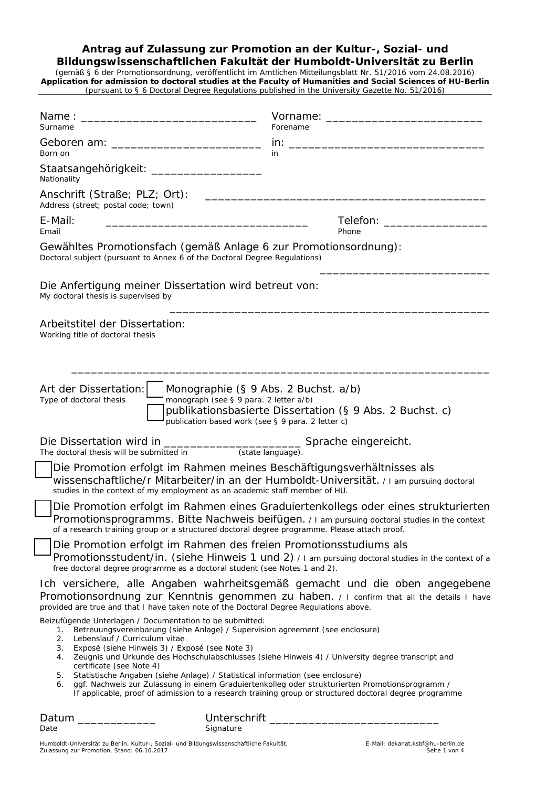# **Antrag auf Zulassung zur Promotion an der Kultur-, Sozial- und**

**Bildungswissenschaftlichen Fakultät der Humboldt-Universität zu Berlin** (gemäß § 6 der Promotionsordnung, veröffentlicht im Amtlichen Mitteilungsblatt Nr. 51/2016 vom 24.08.2016) *Application for admission to doctoral studies at the Faculty of Humanities and Social Sciences of HU-Berlin (pursuant to § 6 Doctoral Degree Regulations published in the University Gazette No. 51/2016)*

| Surname                                          | Vorname: Vorname:<br>Forename                                                                                                                                                                                                                                                                                                                                                                                                                                                                                                                                                                                                                               |
|--------------------------------------------------|-------------------------------------------------------------------------------------------------------------------------------------------------------------------------------------------------------------------------------------------------------------------------------------------------------------------------------------------------------------------------------------------------------------------------------------------------------------------------------------------------------------------------------------------------------------------------------------------------------------------------------------------------------------|
|                                                  |                                                                                                                                                                                                                                                                                                                                                                                                                                                                                                                                                                                                                                                             |
| Born on                                          | in                                                                                                                                                                                                                                                                                                                                                                                                                                                                                                                                                                                                                                                          |
| Nationality                                      | Staatsangehörigkeit: _____________________                                                                                                                                                                                                                                                                                                                                                                                                                                                                                                                                                                                                                  |
| Address (street; postal code; town)              | Anschrift (Straße; PLZ; Ort):                                                                                                                                                                                                                                                                                                                                                                                                                                                                                                                                                                                                                               |
| E-Mail:<br>Email                                 | Telefon: New York State State State State State State State State State State State State State State State State State State State State State State State State State State State State State State State State State State<br><u> 1989 - Johann Harry Harry Harry Harry Harry Harry Harry Harry Harry Harry Harry Harry Harry Harry Harry Harry</u><br>Phone                                                                                                                                                                                                                                                                                             |
|                                                  | Gewähltes Promotionsfach (gemäß Anlage 6 zur Promotionsordnung):<br>Doctoral subject (pursuant to Annex 6 of the Doctoral Degree Regulations)                                                                                                                                                                                                                                                                                                                                                                                                                                                                                                               |
| My doctoral thesis is supervised by              | Die Anfertigung meiner Dissertation wird betreut von:                                                                                                                                                                                                                                                                                                                                                                                                                                                                                                                                                                                                       |
| Working title of doctoral thesis                 | Arbeitstitel der Dissertation:                                                                                                                                                                                                                                                                                                                                                                                                                                                                                                                                                                                                                              |
| Art der Dissertation:<br>Type of doctoral thesis | Monographie (§ 9 Abs. 2 Buchst. a/b)<br>monograph (see § 9 para. 2 letter a/b)<br>publikationsbasierte Dissertation (§ 9 Abs. 2 Buchst. c)<br>publication based work (see § 9 para. 2 letter c)                                                                                                                                                                                                                                                                                                                                                                                                                                                             |
|                                                  |                                                                                                                                                                                                                                                                                                                                                                                                                                                                                                                                                                                                                                                             |
|                                                  | Die Promotion erfolgt im Rahmen meines Beschäftigungsverhältnisses als<br>wissenschaftliche/r Mitarbeiter/in an der Humboldt-Universität. / I am pursuing doctoral<br>studies in the context of my employment as an academic staff member of HU.                                                                                                                                                                                                                                                                                                                                                                                                            |
|                                                  | Die Promotion erfolgt im Rahmen eines Graduiertenkollegs oder eines strukturierten<br>Promotionsprogramms. Bitte Nachweis beifügen. / I am pursuing doctoral studies in the context<br>of a research training group or a structured doctoral degree programme. Please attach proof.                                                                                                                                                                                                                                                                                                                                                                         |
|                                                  | Die Promotion erfolgt im Rahmen des freien Promotionsstudiums als<br>Promotionsstudent/in. (siehe Hinweis 1 und 2) / I am pursuing doctoral studies in the context of a<br>free doctoral degree programme as a doctoral student (see Notes 1 and 2).                                                                                                                                                                                                                                                                                                                                                                                                        |
|                                                  | Ich versichere, alle Angaben wahrheitsgemäß gemacht und die oben angegebene<br>Promotionsordnung zur Kenntnis genommen zu haben. / I confirm that all the details I have<br>provided are true and that I have taken note of the Doctoral Degree Regulations above.                                                                                                                                                                                                                                                                                                                                                                                          |
| 1.<br>2.<br>3.<br>4.<br>5.<br>6.                 | Beizufügende Unterlagen / Documentation to be submitted:<br>Betreuungsvereinbarung (siehe Anlage) / Supervision agreement (see enclosure)<br>Lebenslauf / Curriculum vitae<br>Exposé (siehe Hinweis 3) / Exposé (see Note 3)<br>Zeugnis und Urkunde des Hochschulabschlusses (siehe Hinweis 4) / University degree transcript and<br>certificate (see Note 4)<br>Statistische Angaben (siehe Anlage) / Statistical information (see enclosure)<br>ggf. Nachweis zur Zulassung in einem Graduiertenkolleg oder strukturierten Promotionsprogramm /<br>If applicable, proof of admission to a research training group or structured doctoral degree programme |
| Datum ______________<br>Date                     | Signature                                                                                                                                                                                                                                                                                                                                                                                                                                                                                                                                                                                                                                                   |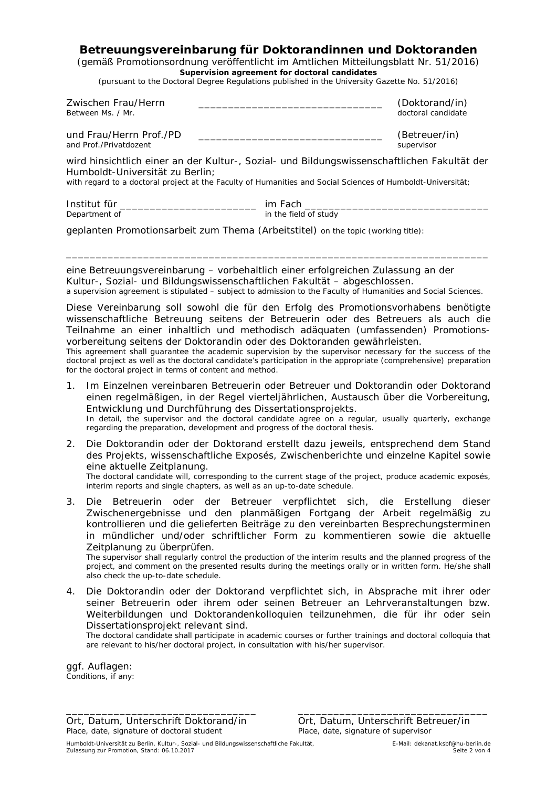### **Betreuungsvereinbarung für Doktorandinnen und Doktoranden**

(gemäß Promotionsordnung veröffentlicht im Amtlichen Mitteilungsblatt Nr. 51/2016) *Supervision agreement for doctoral candidates*

*(pursuant to the Doctoral Degree Regulations published in the University Gazette No. 51/2016)*

| Zwischen Frau/Herrn<br>Between Ms. / Mr.                                                                                                                                                                                                      |                       | (Doktorand/in)<br>doctoral candidate |  |  |  |
|-----------------------------------------------------------------------------------------------------------------------------------------------------------------------------------------------------------------------------------------------|-----------------------|--------------------------------------|--|--|--|
| und Frau/Herrn Prof./PD<br>and Prof./Privatdozent                                                                                                                                                                                             |                       | (Betreuer/in)<br>supervisor          |  |  |  |
| wird hinsichtlich einer an der Kultur-, Sozial- und Bildungswissenschaftlichen Fakultät der<br>Humboldt-Universität zu Berlin;<br>with regard to a doctoral project at the Faculty of Humanities and Social Sciences of Humboldt-Universität; |                       |                                      |  |  |  |
| Institut für _______________________________<br>Department of                                                                                                                                                                                 | in the field of study |                                      |  |  |  |
| geplanten Promotionsarbeit zum Thema (Arbeitstitel) on the topic (working title):                                                                                                                                                             |                       |                                      |  |  |  |

eine Betreuungsvereinbarung – vorbehaltlich einer erfolgreichen Zulassung an der Kultur-, Sozial- und Bildungswissenschaftlichen Fakultät – abgeschlossen. *a supervision agreement is stipulated – subject to admission to the Faculty of Humanities and Social Sciences.*

\_\_\_\_\_\_\_\_\_\_\_\_\_\_\_\_\_\_\_\_\_\_\_\_\_\_\_\_\_\_\_\_\_\_\_\_\_\_\_\_\_\_\_\_\_\_\_\_\_\_\_\_\_\_\_\_\_\_\_\_\_\_\_\_\_\_\_\_\_\_\_

Diese Vereinbarung soll sowohl die für den Erfolg des Promotionsvorhabens benötigte wissenschaftliche Betreuung seitens der Betreuerin oder des Betreuers als auch die Teilnahme an einer inhaltlich und methodisch adäquaten (umfassenden) Promotionsvorbereitung seitens der Doktorandin oder des Doktoranden gewährleisten.

*This agreement shall guarantee the academic supervision by the supervisor necessary for the success of the doctoral project as well as the doctoral candidate's participation in the appropriate (comprehensive) preparation for the doctoral project in terms of content and method.*

- 1. Im Einzelnen vereinbaren Betreuerin oder Betreuer und Doktorandin oder Doktorand einen regelmäßigen, in der Regel vierteljährlichen, Austausch über die Vorbereitung, Entwicklung und Durchführung des Dissertationsprojekts. *In detail, the supervisor and the doctoral candidate agree on a regular, usually quarterly, exchange regarding the preparation, development and progress of the doctoral thesis.*
- 2. Die Doktorandin oder der Doktorand erstellt dazu jeweils, entsprechend dem Stand des Projekts, wissenschaftliche Exposés, Zwischenberichte und einzelne Kapitel sowie eine aktuelle Zeitplanung. *The doctoral candidate will, corresponding to the current stage of the project, produce academic exposés,*

*interim reports and single chapters, as well as an up-to-date schedule.*

3. Die Betreuerin oder der Betreuer verpflichtet sich, die Erstellung dieser Zwischenergebnisse und den planmäßigen Fortgang der Arbeit regelmäßig zu kontrollieren und die gelieferten Beiträge zu den vereinbarten Besprechungsterminen in mündlicher und/oder schriftlicher Form zu kommentieren sowie die aktuelle Zeitplanung zu überprüfen.

*The supervisor shall regularly control the production of the interim results and the planned progress of the project, and comment on the presented results during the meetings orally or in written form. He/she shall also check the up-to-date schedule.*

4. Die Doktorandin oder der Doktorand verpflichtet sich, in Absprache mit ihrer oder seiner Betreuerin oder ihrem oder seinen Betreuer an Lehrveranstaltungen bzw. Weiterbildungen und Doktorandenkolloquien teilzunehmen, die für ihr oder sein Dissertationsprojekt relevant sind.

\_\_\_\_\_\_\_\_\_\_\_\_\_\_\_\_\_\_\_\_\_\_\_\_\_\_\_\_\_\_\_\_ \_\_\_\_\_\_\_\_\_\_\_\_\_\_\_\_\_\_\_\_\_\_\_\_\_\_\_\_\_\_\_\_

*The doctoral candidate shall participate in academic courses or further trainings and doctoral colloquia that are relevant to his/her doctoral project, in consultation with his/her supervisor.*

ggf. Auflagen: Conditions, if any:

Ort, Datum, Unterschrift Doktorand/in Ort, Datum, Unterschrift Betreuer/in Place, date, signature of supervisor *Place, date, signature of doctoral student*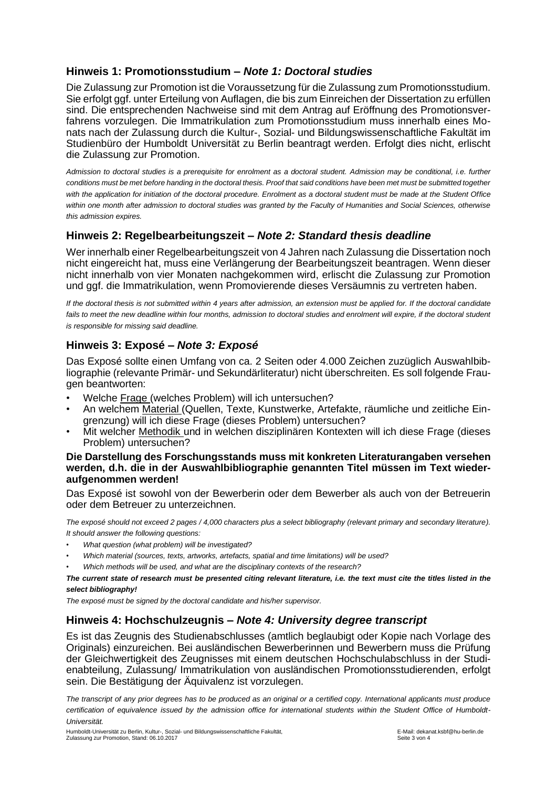### **Hinweis 1: Promotionsstudium –** *Note 1: Doctoral studies*

Die Zulassung zur Promotion ist die Voraussetzung für die Zulassung zum Promotionsstudium. Sie erfolgt ggf. unter Erteilung von Auflagen, die bis zum Einreichen der Dissertation zu erfüllen sind. Die entsprechenden Nachweise sind mit dem Antrag auf Eröffnung des Promotionsverfahrens vorzulegen. Die Immatrikulation zum Promotionsstudium muss innerhalb eines Monats nach der Zulassung durch die Kultur-, Sozial- und Bildungswissenschaftliche Fakultät im Studienbüro der Humboldt Universität zu Berlin beantragt werden. Erfolgt dies nicht, erlischt die Zulassung zur Promotion.

*Admission to doctoral studies is a prerequisite for enrolment as a doctoral student. Admission may be conditional, i.e. further conditions must be met before handing in the doctoral thesis. Proof that said conditions have been met must be submitted together with the application for initiation of the doctoral procedure. Enrolment as a doctoral student must be made at the Student Office*  within one month after admission to doctoral studies was granted by the Faculty of Humanities and Social Sciences, otherwise *this admission expires.* 

# **Hinweis 2: Regelbearbeitungszeit –** *Note 2: Standard thesis deadline*

Wer innerhalb einer Regelbearbeitungszeit von 4 Jahren nach Zulassung die Dissertation noch nicht eingereicht hat, muss eine Verlängerung der Bearbeitungszeit beantragen. Wenn dieser nicht innerhalb von vier Monaten nachgekommen wird, erlischt die Zulassung zur Promotion und ggf. die Immatrikulation, wenn Promovierende dieses Versäumnis zu vertreten haben.

*If the doctoral thesis is not submitted within 4 years after admission, an extension must be applied for. If the doctoral candidate*  fails to meet the new deadline within four months, admission to doctoral studies and enrolment will expire, if the doctoral student *is responsible for missing said deadline.* 

# **Hinweis 3: Exposé –** *Note 3: Exposé*

Das Exposé sollte einen Umfang von ca. 2 Seiten oder 4.000 Zeichen zuzüglich Auswahlbibliographie (relevante Primär- und Sekundärliteratur) nicht überschreiten. Es soll folgende Fraugen beantworten:

- Welche Frage (welches Problem) will ich untersuchen?
- An welchem Material (Quellen, Texte, Kunstwerke, Artefakte, räumliche und zeitliche Eingrenzung) will ich diese Frage (dieses Problem) untersuchen?
- Mit welcher Methodik und in welchen disziplinären Kontexten will ich diese Frage (dieses Problem) untersuchen?

### **Die Darstellung des Forschungsstands muss mit konkreten Literaturangaben versehen werden, d.h. die in der Auswahlbibliographie genannten Titel müssen im Text wiederaufgenommen werden!**

Das Exposé ist sowohl von der Bewerberin oder dem Bewerber als auch von der Betreuerin oder dem Betreuer zu unterzeichnen.

*The exposé should not exceed 2 pages / 4,000 characters plus a select bibliography (relevant primary and secondary literature). It should answer the following questions:* 

- *What question (what problem) will be investigated?*
- *Which material (sources, texts, artworks, artefacts, spatial and time limitations) will be used?*
- *Which methods will be used, and what are the disciplinary contexts of the research?*

*The current state of research must be presented citing relevant literature, i.e. the text must cite the titles listed in the select bibliography!*

*The exposé must be signed by the doctoral candidate and his/her supervisor.* 

### **Hinweis 4: Hochschulzeugnis –** *Note 4: University degree transcript*

Es ist das Zeugnis des Studienabschlusses (amtlich beglaubigt oder Kopie nach Vorlage des Originals) einzureichen. Bei ausländischen Bewerberinnen und Bewerbern muss die Prüfung der Gleichwertigkeit des Zeugnisses mit einem deutschen Hochschulabschluss in der Studienabteilung, Zulassung/ Immatrikulation von ausländischen Promotionsstudierenden, erfolgt sein. Die Bestätigung der Äquivalenz ist vorzulegen.

*The transcript of any prior degrees has to be produced as an original or a certified copy. International applicants must produce certification of equivalence issued by the admission office for international students within the Student Office of Humboldt-Universität.*